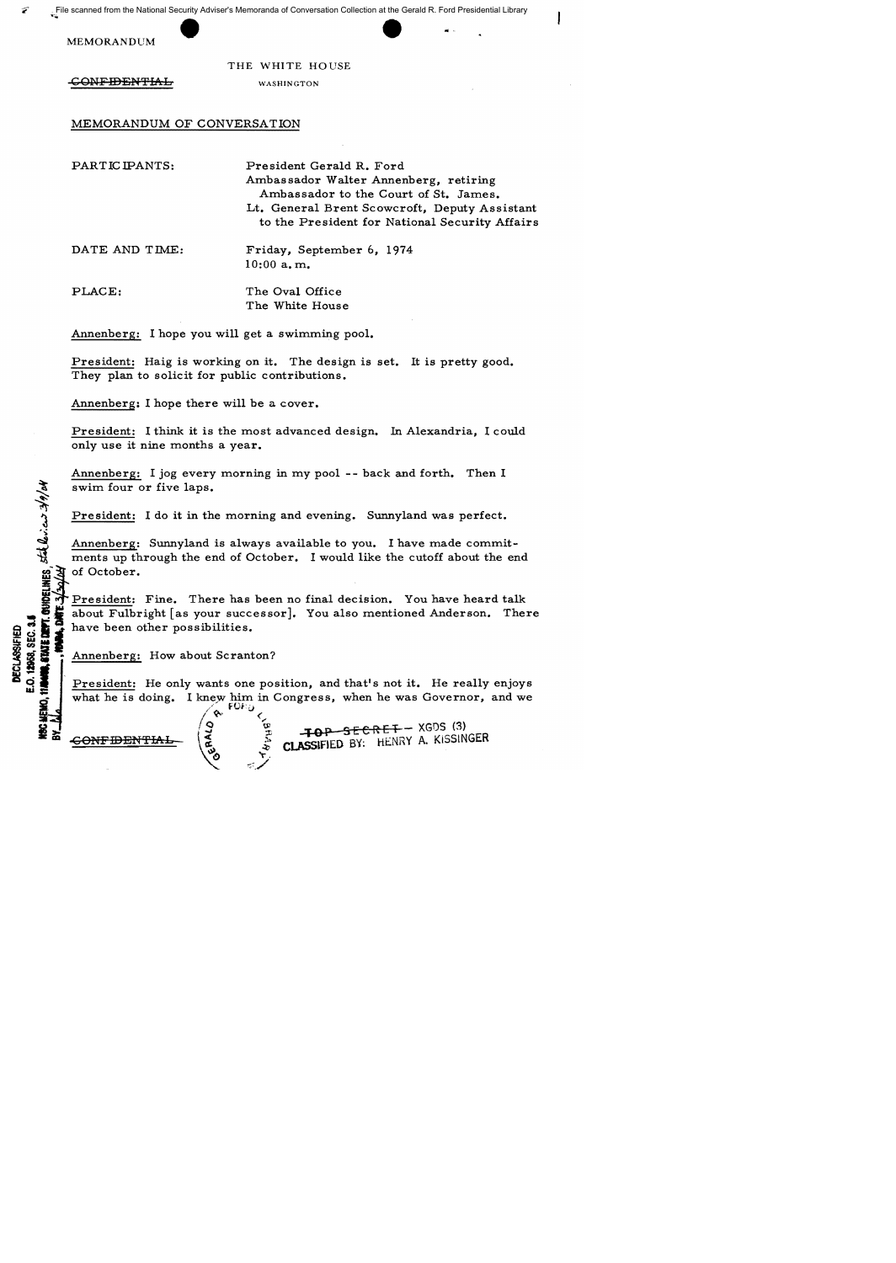MEMORANDUM

..

THE WHITE HOUSE

CONFIDENTIAL WASHINGTON

MEMORANDUM OF CONVERSATION

PARTICIPANTS: President Gerald R. Ford Ambassador Walter Annenberg, retiring Ambassador to the Court of St. James. Lt. General Brent Scowcroft, Deputy Assistant to the President for National Security Affairs

DATE AND TIME: Friday, September 6, 1974 10:00 a. m.

PLACE: The Oval Office The White House

Annenberg: I hope you will get a swimming pool.

President: Haig is working on it. The design is set. It is pretty good. They plan to solicit for public contributions.

Annenberg: I hope there will be a cover.

President: I think it is the most advanced design. In Alexandria, I could only use it nine months a year.

Annenberg: I jog every morning in my pool -- back and forth. Then I swim four or five laps.

President: I do it in the morning and evening. Sunnyland was perfect.

Annenberg: Sunnyland is always available to you. I have made commitments up through the end of October. I would like the cutoff about the end Exam four<br>
Solvey President:<br>
Annenberg:<br>
ments up the president:<br>
Solvey President:<br>
about Fulbr<br>
Les des have been contracted in Annenberg:

President: Fine. There has been no final decision. You have heard talk E of President: Fine. There has been no final decision. You have heard talk<br> $\bullet$   $\bullet$   $\bullet$  about Fulbright [as your successor]. You also mentioned Anderson. There **B** is about Fulbright [as your success of the possibilities.  $\begin{array}{ccc}\n\mathbf{a} & \mathbf{b} & \mathbf{c} \\
\mathbf{c} & \mathbf{c} & \mathbf{d} \\
\mathbf{d} & \mathbf{c} & \mathbf{e} \\
\mathbf{e} & \mathbf{f} & \mathbf{e} \\
\mathbf{f} & \mathbf{f} & \mathbf{e} \\
\mathbf{f} & \mathbf{f} & \mathbf{e}\n\end{array}$  Annenberg: How about Scranton?

President: He only wants one position, and that's not it. He really enjoys what he is doing. I knew him in Congress, when he was Governor, and we

 $\degree$   $\degree$ 

 $\overbrace{\mathbf{R}}^{\mathbf{S}}$   $\overbrace{\mathbf{R}}^{\mathbf{S}}$   $\overbrace{\mathbf{R}}^{\mathbf{S}}$   $\overbrace{\mathbf{R}}^{\mathbf{S}}$   $\overbrace{\mathbf{R}}^{\mathbf{S}}$   $\overbrace{\mathbf{R}}^{\mathbf{S}}$   $\overbrace{\mathbf{R}}^{\mathbf{S}}$   $\overbrace{\mathbf{R}}^{\mathbf{S}}$   $\overbrace{\mathbf{R}}^{\mathbf{S}}$   $\overbrace{\mathbf{R}}^{\mathbf{S}}$   $\overbrace{\mathbf{R}}^{\mathbf{S}}$   $\overbrace{\mathbf{R}}^{\$ CLASSIFIED BY: HENRY A. KISSINGER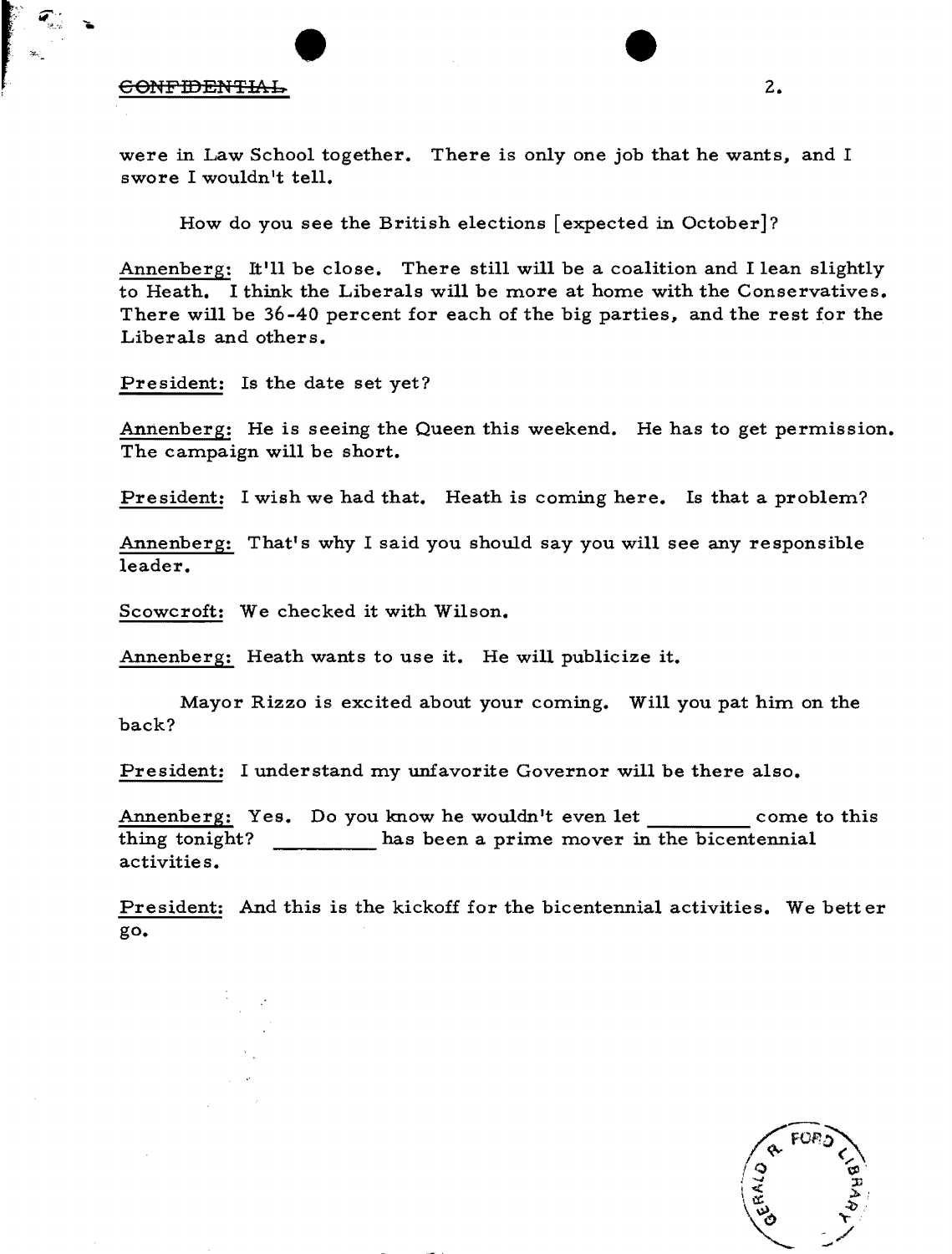## CONFIDENTIAL 2.

िस.⊄ **के**<br>.

r ~-

were in Law School together. There is only one job that he wants, and I swore I wouldn't tell.

How do you see the British elections [expected in October]?

Annenberg: It'll be close. There still will be a coalition and I lean slightly to Heath. I think the Liberals will be more at home with the Conservatives. There will be 36-40 percent for each of the big parties, and the rest for the Liberals and others.

President: Is the date set yet?

Annenberg: He is seeing the Queen this weekend. He has to get permission. The campaign will be short.

President: I wish we had that. Heath is coming here. Is that a problem?

Annenberg: That's why I said you should say you will see any responsible leader.

Scowcroft: We checked it with Wilson.

Annenberg: Heath wants to use it. He will publicize it.

Mayor Rizzo is excited about your coming. Will you pat him on the back?

President: I understand my unfavorite Governor will be there also.

Annenberg: Yes. Do you know he wouldn't even let come to this thing tonight? \_\_\_\_\_ has been a prime mover in the bicentennial activities.

President: And this is the kickoff for the bicentennial activities. We better go.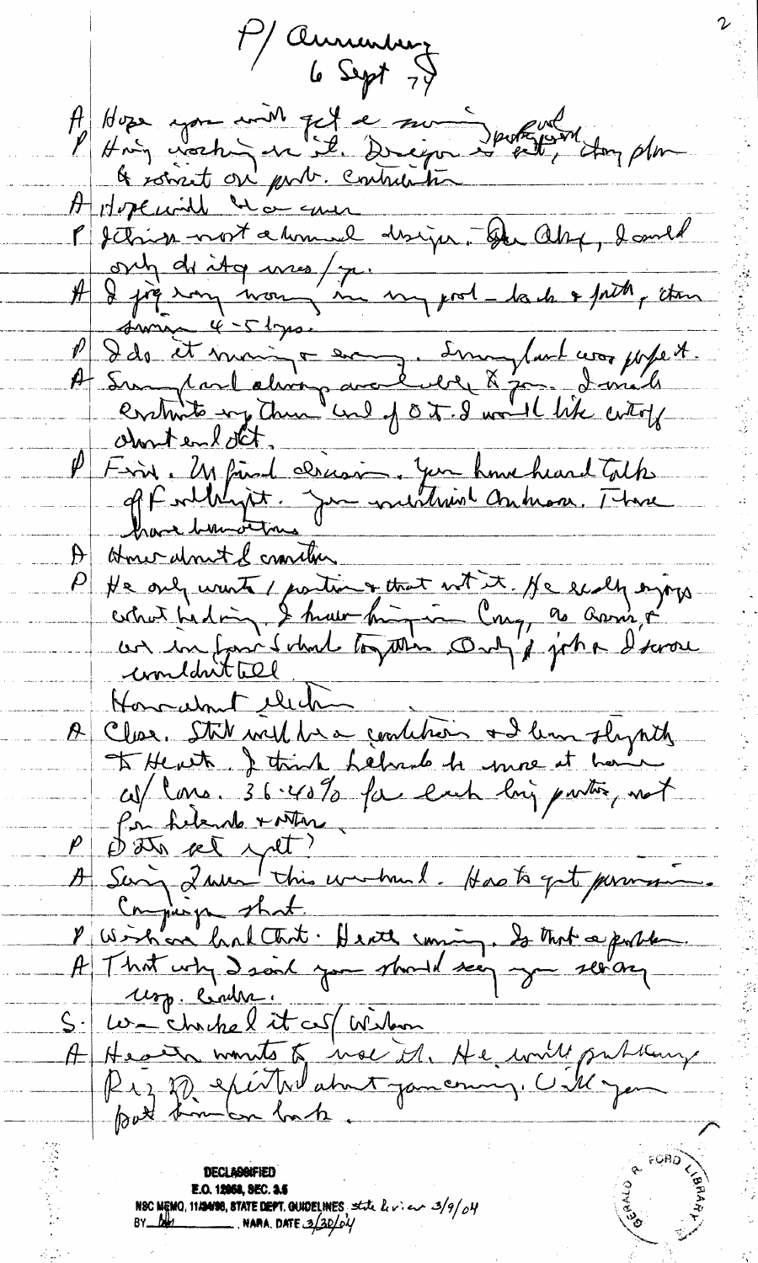Maurentury A Hose you with get a sure porter day plus<br>l'Hoig western un il Dregon de la Hoy plus A Hopewill was sure Pf din most a tomal disign. Du alof, dand ont de ity unes / 7. mars 100 la de 7 prit , étan suring  $4-5$  lyrs. P Ids it moins = en Imoyland was papet.<br>A Sampard about avec didn't & points P First en l'OCT.<br>P First, Un fin de Pricoin, Jun home heard Tothe Homer almost of consider  $|H|$ He only wants (portion + that with it, He exalty orginal the distribution of the text of the large organization of the large of the distribution of the distribution of the distribution of the distribution of the distributi A Clear Stil with he condition and lim slightly<br>and the with a string helmed to me it have<br>conflict at the with the each long partie, not<br>partition of the window of the state of the state of the state<br>B string shall be don Honoralmit electric S. We chochel it as (Wilson) DECLASSIFIED **E.O. 12068. SEC. 3.5** NSC MEMO, 11120138, STATE DEPT. QUIDELINES state  $\frac{u}{v}$  on  $\frac{3}{9}$  of